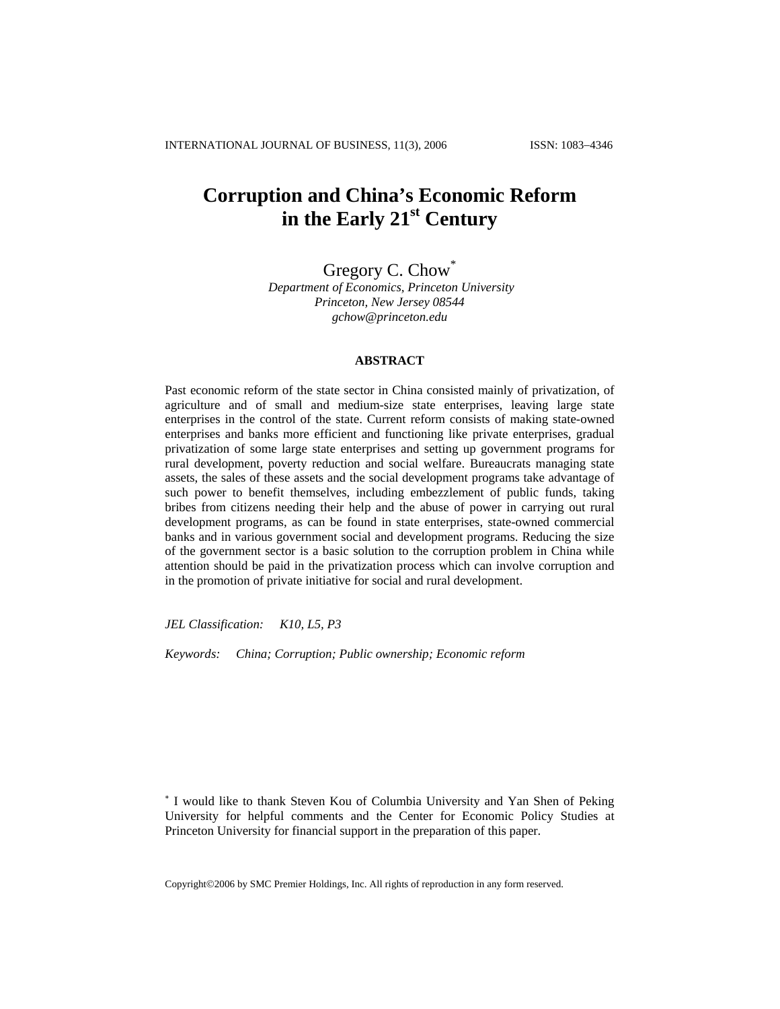# **Corruption and China's Economic Reform in the Early 21st Century**

Gregory C. Chow<sup>\*</sup>

 *Department of Economics, Princeton University Princeton, New Jersey 08544 gchow@princeton.edu* 

### **ABSTRACT**

Past economic reform of the state sector in China consisted mainly of privatization, of agriculture and of small and medium-size state enterprises, leaving large state enterprises in the control of the state. Current reform consists of making state-owned enterprises and banks more efficient and functioning like private enterprises, gradual privatization of some large state enterprises and setting up government programs for rural development, poverty reduction and social welfare. Bureaucrats managing state assets, the sales of these assets and the social development programs take advantage of such power to benefit themselves, including embezzlement of public funds, taking bribes from citizens needing their help and the abuse of power in carrying out rural development programs, as can be found in state enterprises, state-owned commercial banks and in various government social and development programs. Reducing the size of the government sector is a basic solution to the corruption problem in China while attention should be paid in the privatization process which can involve corruption and in the promotion of private initiative for social and rural development.

*JEL Classification: K10, L5, P3*

*Keywords: China; Corruption; Public ownership; Economic reform*

∗ I would like to thank Steven Kou of Columbia University and Yan Shen of Peking University for helpful comments and the Center for Economic Policy Studies at Princeton University for financial support in the preparation of this paper.

Copyright©2006 by SMC Premier Holdings, Inc. All rights of reproduction in any form reserved.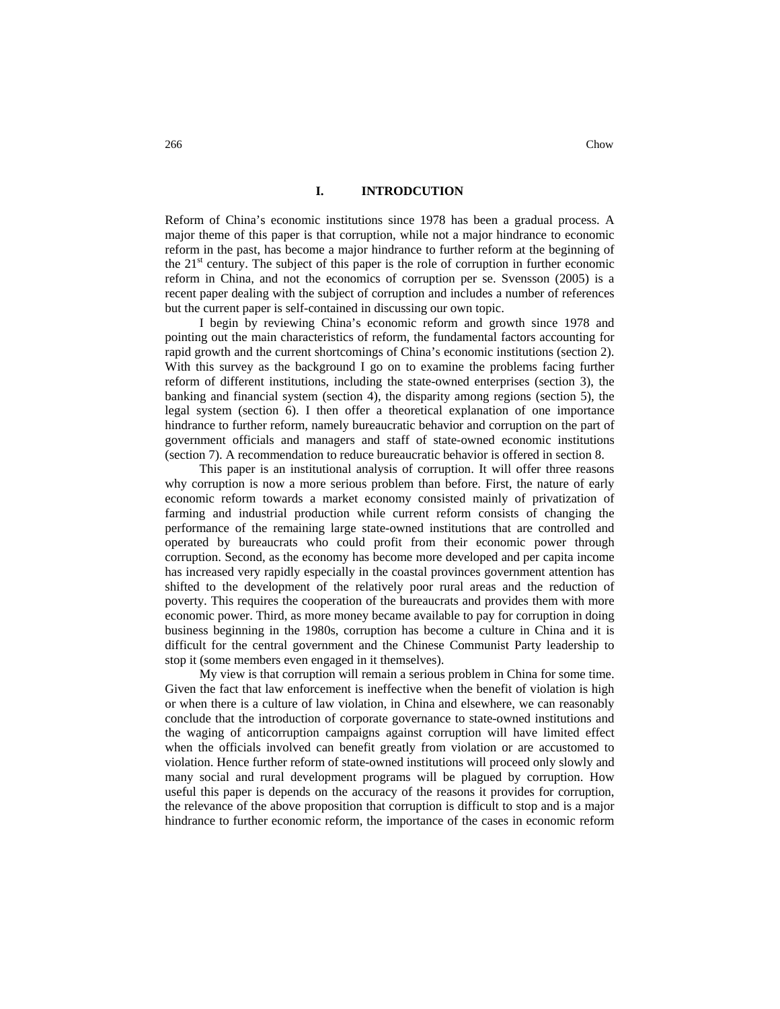# **I. INTRODCUTION**

Reform of China's economic institutions since 1978 has been a gradual process. A major theme of this paper is that corruption, while not a major hindrance to economic reform in the past, has become a major hindrance to further reform at the beginning of the  $21<sup>st</sup>$  century. The subject of this paper is the role of corruption in further economic reform in China, and not the economics of corruption per se. Svensson (2005) is a recent paper dealing with the subject of corruption and includes a number of references but the current paper is self-contained in discussing our own topic.

I begin by reviewing China's economic reform and growth since 1978 and pointing out the main characteristics of reform, the fundamental factors accounting for rapid growth and the current shortcomings of China's economic institutions (section 2). With this survey as the background I go on to examine the problems facing further reform of different institutions, including the state-owned enterprises (section 3), the banking and financial system (section 4), the disparity among regions (section 5), the legal system (section 6). I then offer a theoretical explanation of one importance hindrance to further reform, namely bureaucratic behavior and corruption on the part of government officials and managers and staff of state-owned economic institutions (section 7). A recommendation to reduce bureaucratic behavior is offered in section 8.

This paper is an institutional analysis of corruption. It will offer three reasons why corruption is now a more serious problem than before. First, the nature of early economic reform towards a market economy consisted mainly of privatization of farming and industrial production while current reform consists of changing the performance of the remaining large state-owned institutions that are controlled and operated by bureaucrats who could profit from their economic power through corruption. Second, as the economy has become more developed and per capita income has increased very rapidly especially in the coastal provinces government attention has shifted to the development of the relatively poor rural areas and the reduction of poverty. This requires the cooperation of the bureaucrats and provides them with more economic power. Third, as more money became available to pay for corruption in doing business beginning in the 1980s, corruption has become a culture in China and it is difficult for the central government and the Chinese Communist Party leadership to stop it (some members even engaged in it themselves).

My view is that corruption will remain a serious problem in China for some time. Given the fact that law enforcement is ineffective when the benefit of violation is high or when there is a culture of law violation, in China and elsewhere, we can reasonably conclude that the introduction of corporate governance to state-owned institutions and the waging of anticorruption campaigns against corruption will have limited effect when the officials involved can benefit greatly from violation or are accustomed to violation. Hence further reform of state-owned institutions will proceed only slowly and many social and rural development programs will be plagued by corruption. How useful this paper is depends on the accuracy of the reasons it provides for corruption, the relevance of the above proposition that corruption is difficult to stop and is a major hindrance to further economic reform, the importance of the cases in economic reform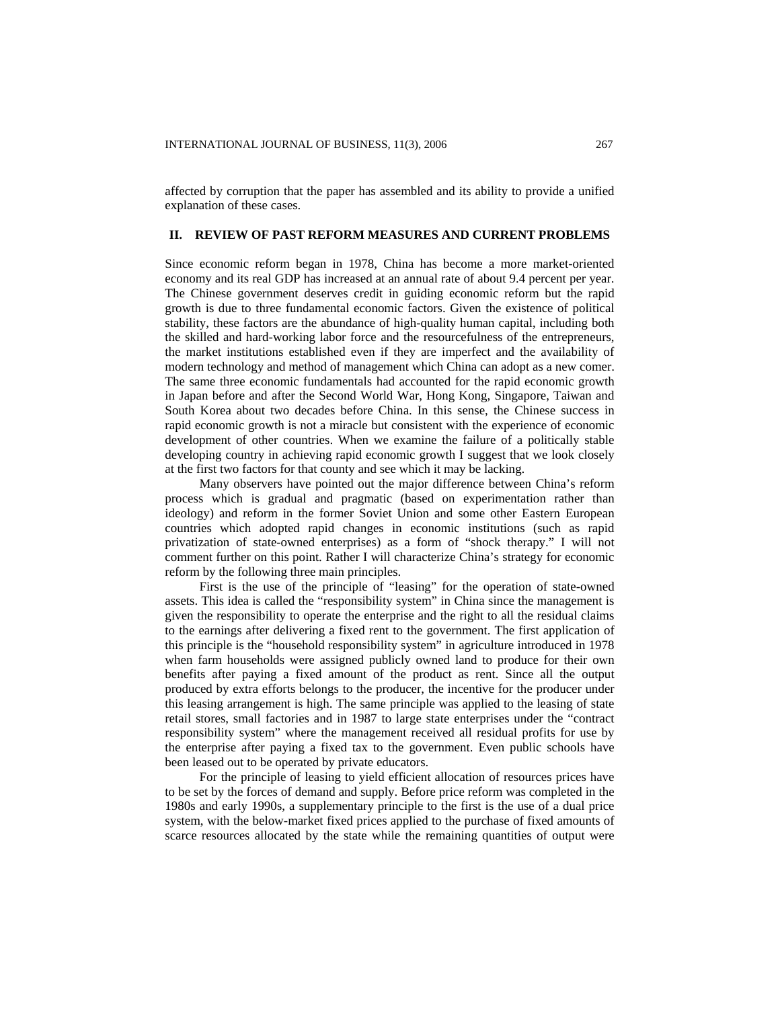affected by corruption that the paper has assembled and its ability to provide a unified explanation of these cases.

#### **II. REVIEW OF PAST REFORM MEASURES AND CURRENT PROBLEMS**

Since economic reform began in 1978, China has become a more market-oriented economy and its real GDP has increased at an annual rate of about 9.4 percent per year. The Chinese government deserves credit in guiding economic reform but the rapid growth is due to three fundamental economic factors. Given the existence of political stability, these factors are the abundance of high-quality human capital, including both the skilled and hard-working labor force and the resourcefulness of the entrepreneurs, the market institutions established even if they are imperfect and the availability of modern technology and method of management which China can adopt as a new comer. The same three economic fundamentals had accounted for the rapid economic growth in Japan before and after the Second World War, Hong Kong, Singapore, Taiwan and South Korea about two decades before China. In this sense, the Chinese success in rapid economic growth is not a miracle but consistent with the experience of economic development of other countries. When we examine the failure of a politically stable developing country in achieving rapid economic growth I suggest that we look closely at the first two factors for that county and see which it may be lacking.

Many observers have pointed out the major difference between China's reform process which is gradual and pragmatic (based on experimentation rather than ideology) and reform in the former Soviet Union and some other Eastern European countries which adopted rapid changes in economic institutions (such as rapid privatization of state-owned enterprises) as a form of "shock therapy." I will not comment further on this point. Rather I will characterize China's strategy for economic reform by the following three main principles.

First is the use of the principle of "leasing" for the operation of state-owned assets. This idea is called the "responsibility system" in China since the management is given the responsibility to operate the enterprise and the right to all the residual claims to the earnings after delivering a fixed rent to the government. The first application of this principle is the "household responsibility system" in agriculture introduced in 1978 when farm households were assigned publicly owned land to produce for their own benefits after paying a fixed amount of the product as rent. Since all the output produced by extra efforts belongs to the producer, the incentive for the producer under this leasing arrangement is high. The same principle was applied to the leasing of state retail stores, small factories and in 1987 to large state enterprises under the "contract responsibility system" where the management received all residual profits for use by the enterprise after paying a fixed tax to the government. Even public schools have been leased out to be operated by private educators.

For the principle of leasing to yield efficient allocation of resources prices have to be set by the forces of demand and supply. Before price reform was completed in the 1980s and early 1990s, a supplementary principle to the first is the use of a dual price system, with the below-market fixed prices applied to the purchase of fixed amounts of scarce resources allocated by the state while the remaining quantities of output were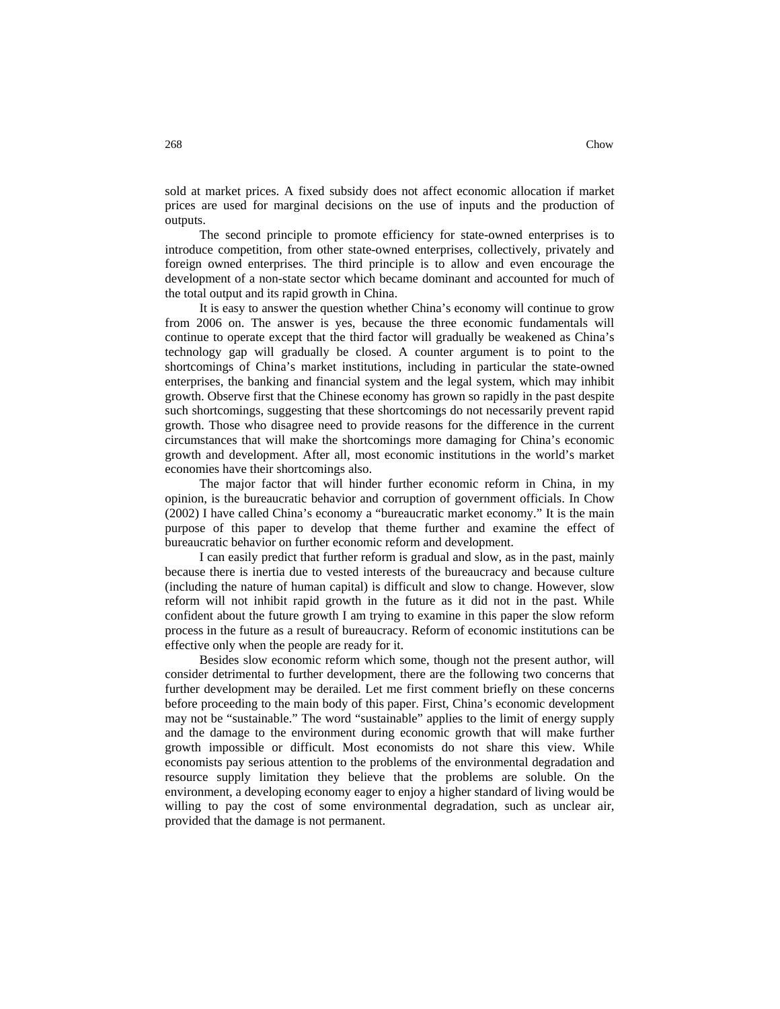sold at market prices. A fixed subsidy does not affect economic allocation if market prices are used for marginal decisions on the use of inputs and the production of outputs.

The second principle to promote efficiency for state-owned enterprises is to introduce competition, from other state-owned enterprises, collectively, privately and foreign owned enterprises. The third principle is to allow and even encourage the development of a non-state sector which became dominant and accounted for much of the total output and its rapid growth in China.

It is easy to answer the question whether China's economy will continue to grow from 2006 on. The answer is yes, because the three economic fundamentals will continue to operate except that the third factor will gradually be weakened as China's technology gap will gradually be closed. A counter argument is to point to the shortcomings of China's market institutions, including in particular the state-owned enterprises, the banking and financial system and the legal system, which may inhibit growth. Observe first that the Chinese economy has grown so rapidly in the past despite such shortcomings, suggesting that these shortcomings do not necessarily prevent rapid growth. Those who disagree need to provide reasons for the difference in the current circumstances that will make the shortcomings more damaging for China's economic growth and development. After all, most economic institutions in the world's market economies have their shortcomings also.

The major factor that will hinder further economic reform in China, in my opinion, is the bureaucratic behavior and corruption of government officials. In Chow (2002) I have called China's economy a "bureaucratic market economy." It is the main purpose of this paper to develop that theme further and examine the effect of bureaucratic behavior on further economic reform and development.

I can easily predict that further reform is gradual and slow, as in the past, mainly because there is inertia due to vested interests of the bureaucracy and because culture (including the nature of human capital) is difficult and slow to change. However, slow reform will not inhibit rapid growth in the future as it did not in the past. While confident about the future growth I am trying to examine in this paper the slow reform process in the future as a result of bureaucracy. Reform of economic institutions can be effective only when the people are ready for it.

Besides slow economic reform which some, though not the present author, will consider detrimental to further development, there are the following two concerns that further development may be derailed. Let me first comment briefly on these concerns before proceeding to the main body of this paper. First, China's economic development may not be "sustainable." The word "sustainable" applies to the limit of energy supply and the damage to the environment during economic growth that will make further growth impossible or difficult. Most economists do not share this view. While economists pay serious attention to the problems of the environmental degradation and resource supply limitation they believe that the problems are soluble. On the environment, a developing economy eager to enjoy a higher standard of living would be willing to pay the cost of some environmental degradation, such as unclear air, provided that the damage is not permanent.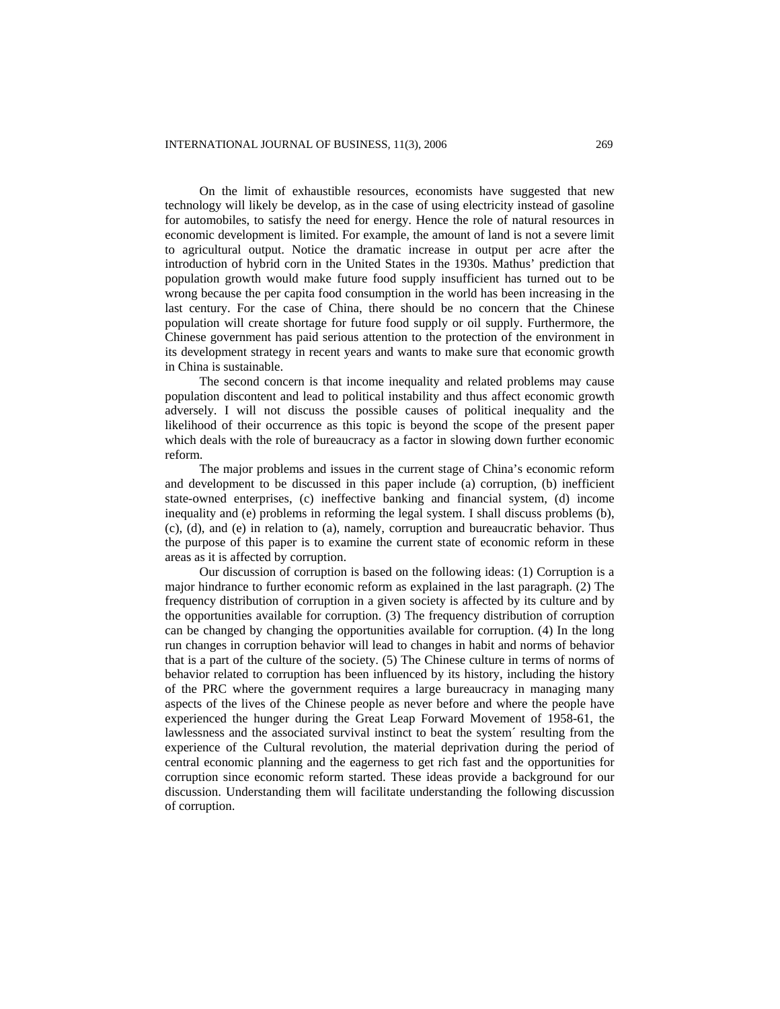On the limit of exhaustible resources, economists have suggested that new technology will likely be develop, as in the case of using electricity instead of gasoline for automobiles, to satisfy the need for energy. Hence the role of natural resources in economic development is limited. For example, the amount of land is not a severe limit to agricultural output. Notice the dramatic increase in output per acre after the introduction of hybrid corn in the United States in the 1930s. Mathus' prediction that population growth would make future food supply insufficient has turned out to be wrong because the per capita food consumption in the world has been increasing in the last century. For the case of China, there should be no concern that the Chinese population will create shortage for future food supply or oil supply. Furthermore, the Chinese government has paid serious attention to the protection of the environment in its development strategy in recent years and wants to make sure that economic growth in China is sustainable.

The second concern is that income inequality and related problems may cause population discontent and lead to political instability and thus affect economic growth adversely. I will not discuss the possible causes of political inequality and the likelihood of their occurrence as this topic is beyond the scope of the present paper which deals with the role of bureaucracy as a factor in slowing down further economic reform.

The major problems and issues in the current stage of China's economic reform and development to be discussed in this paper include (a) corruption, (b) inefficient state-owned enterprises, (c) ineffective banking and financial system, (d) income inequality and (e) problems in reforming the legal system. I shall discuss problems (b), (c), (d), and (e) in relation to (a), namely, corruption and bureaucratic behavior. Thus the purpose of this paper is to examine the current state of economic reform in these areas as it is affected by corruption.

Our discussion of corruption is based on the following ideas: (1) Corruption is a major hindrance to further economic reform as explained in the last paragraph. (2) The frequency distribution of corruption in a given society is affected by its culture and by the opportunities available for corruption. (3) The frequency distribution of corruption can be changed by changing the opportunities available for corruption. (4) In the long run changes in corruption behavior will lead to changes in habit and norms of behavior that is a part of the culture of the society. (5) The Chinese culture in terms of norms of behavior related to corruption has been influenced by its history, including the history of the PRC where the government requires a large bureaucracy in managing many aspects of the lives of the Chinese people as never before and where the people have experienced the hunger during the Great Leap Forward Movement of 1958-61, the lawlessness and the associated survival instinct to beat the system´ resulting from the experience of the Cultural revolution, the material deprivation during the period of central economic planning and the eagerness to get rich fast and the opportunities for corruption since economic reform started. These ideas provide a background for our discussion. Understanding them will facilitate understanding the following discussion of corruption.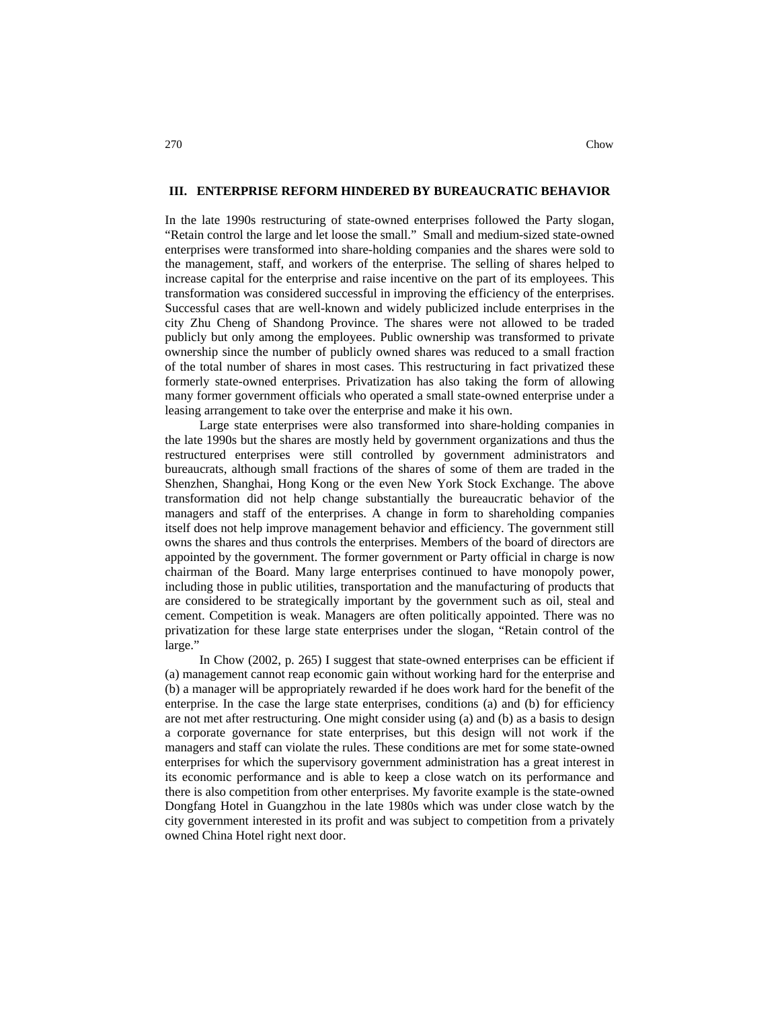In the late 1990s restructuring of state-owned enterprises followed the Party slogan, "Retain control the large and let loose the small." Small and medium-sized state-owned enterprises were transformed into share-holding companies and the shares were sold to the management, staff, and workers of the enterprise. The selling of shares helped to increase capital for the enterprise and raise incentive on the part of its employees. This transformation was considered successful in improving the efficiency of the enterprises. Successful cases that are well-known and widely publicized include enterprises in the city Zhu Cheng of Shandong Province. The shares were not allowed to be traded publicly but only among the employees. Public ownership was transformed to private ownership since the number of publicly owned shares was reduced to a small fraction of the total number of shares in most cases. This restructuring in fact privatized these formerly state-owned enterprises. Privatization has also taking the form of allowing many former government officials who operated a small state-owned enterprise under a leasing arrangement to take over the enterprise and make it his own.

Large state enterprises were also transformed into share-holding companies in the late 1990s but the shares are mostly held by government organizations and thus the restructured enterprises were still controlled by government administrators and bureaucrats, although small fractions of the shares of some of them are traded in the Shenzhen, Shanghai, Hong Kong or the even New York Stock Exchange. The above transformation did not help change substantially the bureaucratic behavior of the managers and staff of the enterprises. A change in form to shareholding companies itself does not help improve management behavior and efficiency. The government still owns the shares and thus controls the enterprises. Members of the board of directors are appointed by the government. The former government or Party official in charge is now chairman of the Board. Many large enterprises continued to have monopoly power, including those in public utilities, transportation and the manufacturing of products that are considered to be strategically important by the government such as oil, steal and cement. Competition is weak. Managers are often politically appointed. There was no privatization for these large state enterprises under the slogan, "Retain control of the large."

In Chow (2002, p. 265) I suggest that state-owned enterprises can be efficient if (a) management cannot reap economic gain without working hard for the enterprise and (b) a manager will be appropriately rewarded if he does work hard for the benefit of the enterprise. In the case the large state enterprises, conditions (a) and (b) for efficiency are not met after restructuring. One might consider using (a) and (b) as a basis to design a corporate governance for state enterprises, but this design will not work if the managers and staff can violate the rules. These conditions are met for some state-owned enterprises for which the supervisory government administration has a great interest in its economic performance and is able to keep a close watch on its performance and there is also competition from other enterprises. My favorite example is the state-owned Dongfang Hotel in Guangzhou in the late 1980s which was under close watch by the city government interested in its profit and was subject to competition from a privately owned China Hotel right next door.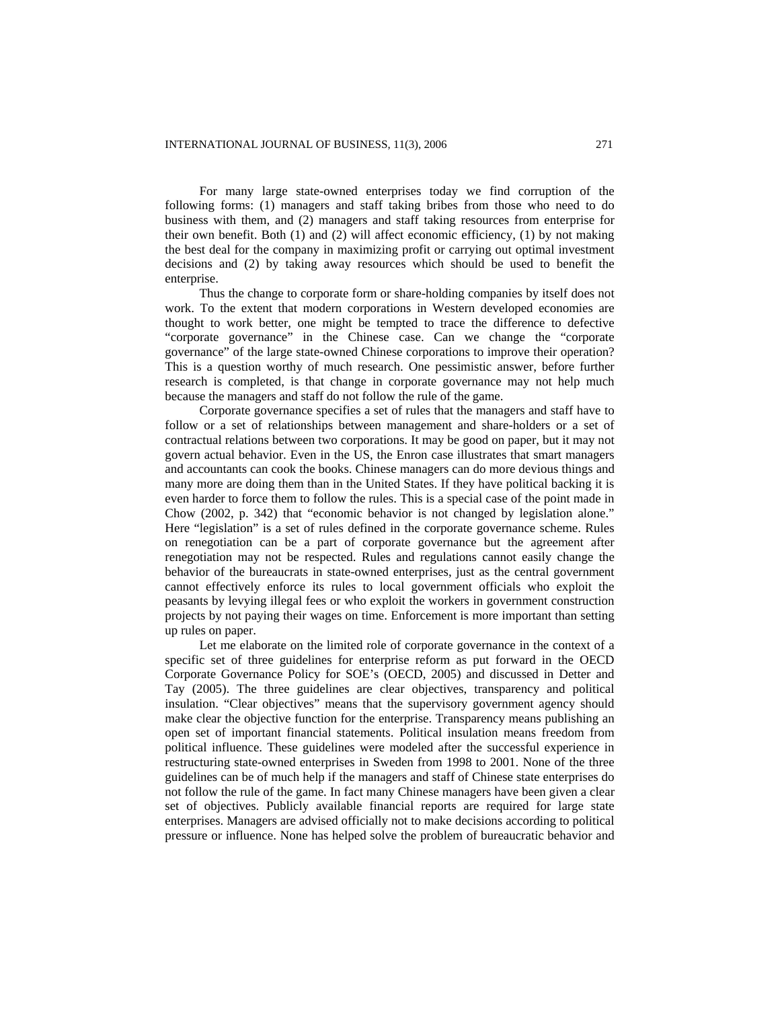For many large state-owned enterprises today we find corruption of the following forms: (1) managers and staff taking bribes from those who need to do business with them, and (2) managers and staff taking resources from enterprise for their own benefit. Both (1) and (2) will affect economic efficiency, (1) by not making the best deal for the company in maximizing profit or carrying out optimal investment decisions and (2) by taking away resources which should be used to benefit the enterprise.

Thus the change to corporate form or share-holding companies by itself does not work. To the extent that modern corporations in Western developed economies are thought to work better, one might be tempted to trace the difference to defective "corporate governance" in the Chinese case. Can we change the "corporate governance" of the large state-owned Chinese corporations to improve their operation? This is a question worthy of much research. One pessimistic answer, before further research is completed, is that change in corporate governance may not help much because the managers and staff do not follow the rule of the game.

Corporate governance specifies a set of rules that the managers and staff have to follow or a set of relationships between management and share-holders or a set of contractual relations between two corporations. It may be good on paper, but it may not govern actual behavior. Even in the US, the Enron case illustrates that smart managers and accountants can cook the books. Chinese managers can do more devious things and many more are doing them than in the United States. If they have political backing it is even harder to force them to follow the rules. This is a special case of the point made in Chow (2002, p. 342) that "economic behavior is not changed by legislation alone." Here "legislation" is a set of rules defined in the corporate governance scheme. Rules on renegotiation can be a part of corporate governance but the agreement after renegotiation may not be respected. Rules and regulations cannot easily change the behavior of the bureaucrats in state-owned enterprises, just as the central government cannot effectively enforce its rules to local government officials who exploit the peasants by levying illegal fees or who exploit the workers in government construction projects by not paying their wages on time. Enforcement is more important than setting up rules on paper.

Let me elaborate on the limited role of corporate governance in the context of a specific set of three guidelines for enterprise reform as put forward in the OECD Corporate Governance Policy for SOE's (OECD, 2005) and discussed in Detter and Tay (2005). The three guidelines are clear objectives, transparency and political insulation. "Clear objectives" means that the supervisory government agency should make clear the objective function for the enterprise. Transparency means publishing an open set of important financial statements. Political insulation means freedom from political influence. These guidelines were modeled after the successful experience in restructuring state-owned enterprises in Sweden from 1998 to 2001. None of the three guidelines can be of much help if the managers and staff of Chinese state enterprises do not follow the rule of the game. In fact many Chinese managers have been given a clear set of objectives. Publicly available financial reports are required for large state enterprises. Managers are advised officially not to make decisions according to political pressure or influence. None has helped solve the problem of bureaucratic behavior and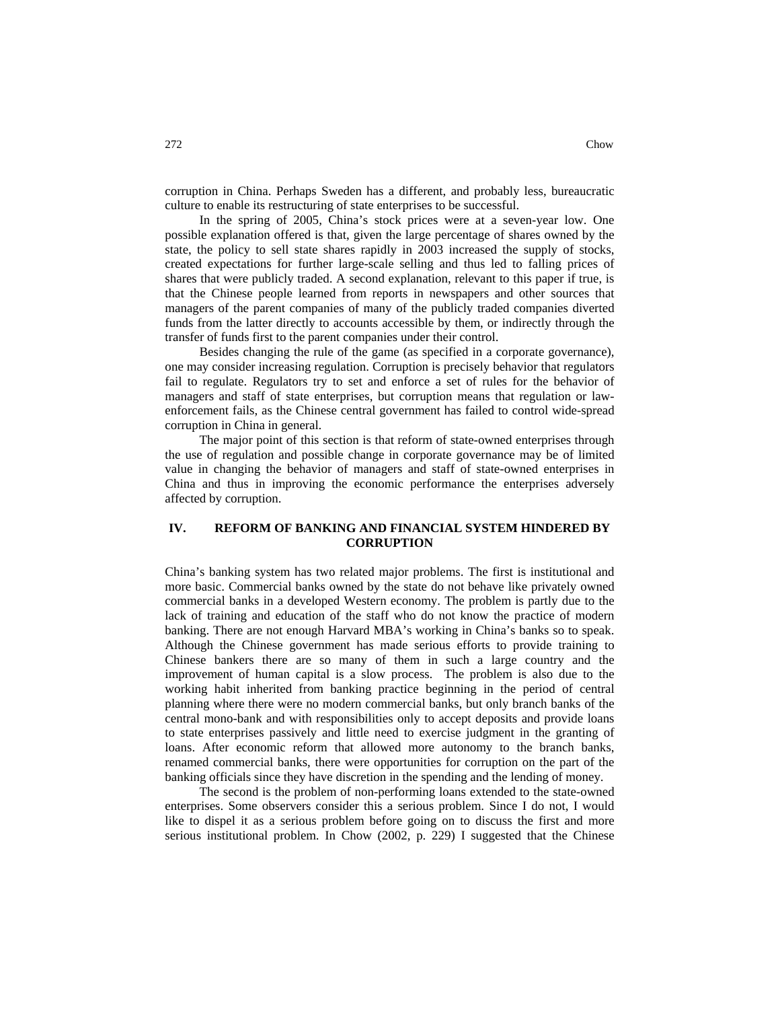corruption in China. Perhaps Sweden has a different, and probably less, bureaucratic culture to enable its restructuring of state enterprises to be successful.

In the spring of 2005, China's stock prices were at a seven-year low. One possible explanation offered is that, given the large percentage of shares owned by the state, the policy to sell state shares rapidly in 2003 increased the supply of stocks, created expectations for further large-scale selling and thus led to falling prices of shares that were publicly traded. A second explanation, relevant to this paper if true, is that the Chinese people learned from reports in newspapers and other sources that managers of the parent companies of many of the publicly traded companies diverted funds from the latter directly to accounts accessible by them, or indirectly through the transfer of funds first to the parent companies under their control.

Besides changing the rule of the game (as specified in a corporate governance), one may consider increasing regulation. Corruption is precisely behavior that regulators fail to regulate. Regulators try to set and enforce a set of rules for the behavior of managers and staff of state enterprises, but corruption means that regulation or lawenforcement fails, as the Chinese central government has failed to control wide-spread corruption in China in general.

The major point of this section is that reform of state-owned enterprises through the use of regulation and possible change in corporate governance may be of limited value in changing the behavior of managers and staff of state-owned enterprises in China and thus in improving the economic performance the enterprises adversely affected by corruption.

## **IV. REFORM OF BANKING AND FINANCIAL SYSTEM HINDERED BY CORRUPTION**

China's banking system has two related major problems. The first is institutional and more basic. Commercial banks owned by the state do not behave like privately owned commercial banks in a developed Western economy. The problem is partly due to the lack of training and education of the staff who do not know the practice of modern banking. There are not enough Harvard MBA's working in China's banks so to speak. Although the Chinese government has made serious efforts to provide training to Chinese bankers there are so many of them in such a large country and the improvement of human capital is a slow process. The problem is also due to the working habit inherited from banking practice beginning in the period of central planning where there were no modern commercial banks, but only branch banks of the central mono-bank and with responsibilities only to accept deposits and provide loans to state enterprises passively and little need to exercise judgment in the granting of loans. After economic reform that allowed more autonomy to the branch banks, renamed commercial banks, there were opportunities for corruption on the part of the banking officials since they have discretion in the spending and the lending of money.

The second is the problem of non-performing loans extended to the state-owned enterprises. Some observers consider this a serious problem. Since I do not, I would like to dispel it as a serious problem before going on to discuss the first and more serious institutional problem. In Chow (2002, p. 229) I suggested that the Chinese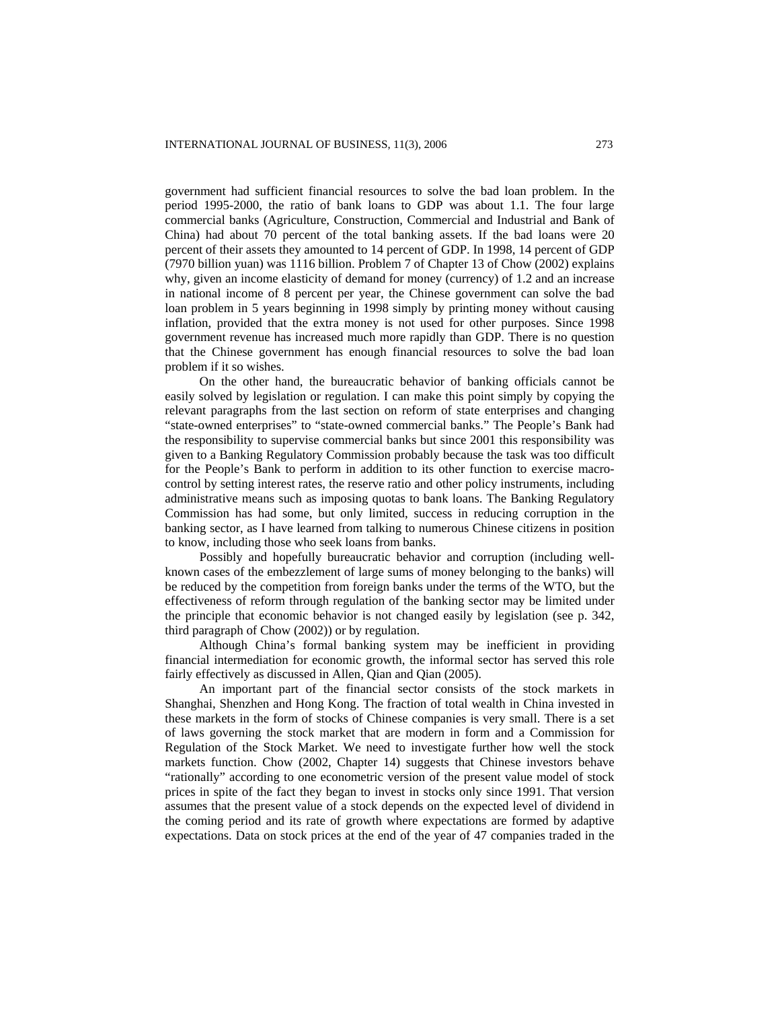government had sufficient financial resources to solve the bad loan problem. In the period 1995-2000, the ratio of bank loans to GDP was about 1.1. The four large commercial banks (Agriculture, Construction, Commercial and Industrial and Bank of China) had about 70 percent of the total banking assets. If the bad loans were 20 percent of their assets they amounted to 14 percent of GDP. In 1998, 14 percent of GDP (7970 billion yuan) was 1116 billion. Problem 7 of Chapter 13 of Chow (2002) explains why, given an income elasticity of demand for money (currency) of 1.2 and an increase in national income of 8 percent per year, the Chinese government can solve the bad loan problem in 5 years beginning in 1998 simply by printing money without causing inflation, provided that the extra money is not used for other purposes. Since 1998 government revenue has increased much more rapidly than GDP. There is no question that the Chinese government has enough financial resources to solve the bad loan problem if it so wishes.

On the other hand, the bureaucratic behavior of banking officials cannot be easily solved by legislation or regulation. I can make this point simply by copying the relevant paragraphs from the last section on reform of state enterprises and changing "state-owned enterprises" to "state-owned commercial banks." The People's Bank had the responsibility to supervise commercial banks but since 2001 this responsibility was given to a Banking Regulatory Commission probably because the task was too difficult for the People's Bank to perform in addition to its other function to exercise macrocontrol by setting interest rates, the reserve ratio and other policy instruments, including administrative means such as imposing quotas to bank loans. The Banking Regulatory Commission has had some, but only limited, success in reducing corruption in the banking sector, as I have learned from talking to numerous Chinese citizens in position to know, including those who seek loans from banks.

Possibly and hopefully bureaucratic behavior and corruption (including wellknown cases of the embezzlement of large sums of money belonging to the banks) will be reduced by the competition from foreign banks under the terms of the WTO, but the effectiveness of reform through regulation of the banking sector may be limited under the principle that economic behavior is not changed easily by legislation (see p. 342, third paragraph of Chow (2002)) or by regulation.

Although China's formal banking system may be inefficient in providing financial intermediation for economic growth, the informal sector has served this role fairly effectively as discussed in Allen, Qian and Qian (2005).

An important part of the financial sector consists of the stock markets in Shanghai, Shenzhen and Hong Kong. The fraction of total wealth in China invested in these markets in the form of stocks of Chinese companies is very small. There is a set of laws governing the stock market that are modern in form and a Commission for Regulation of the Stock Market. We need to investigate further how well the stock markets function. Chow (2002, Chapter 14) suggests that Chinese investors behave "rationally" according to one econometric version of the present value model of stock prices in spite of the fact they began to invest in stocks only since 1991. That version assumes that the present value of a stock depends on the expected level of dividend in the coming period and its rate of growth where expectations are formed by adaptive expectations. Data on stock prices at the end of the year of 47 companies traded in the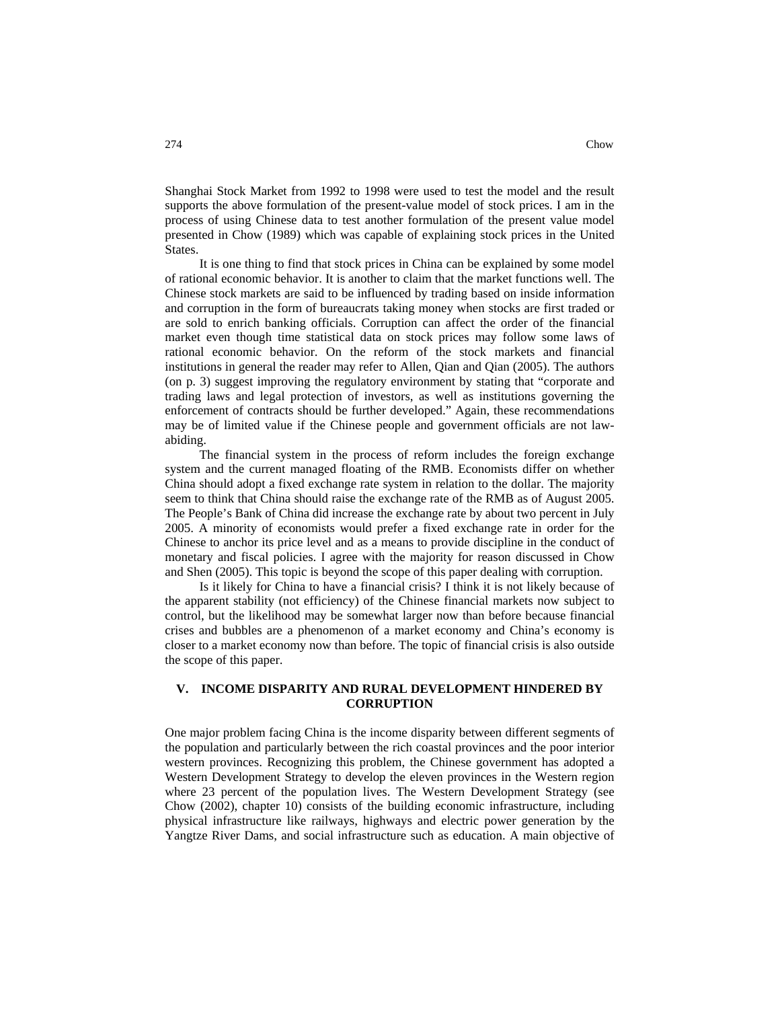Shanghai Stock Market from 1992 to 1998 were used to test the model and the result supports the above formulation of the present-value model of stock prices. I am in the process of using Chinese data to test another formulation of the present value model presented in Chow (1989) which was capable of explaining stock prices in the United States.

It is one thing to find that stock prices in China can be explained by some model of rational economic behavior. It is another to claim that the market functions well. The Chinese stock markets are said to be influenced by trading based on inside information and corruption in the form of bureaucrats taking money when stocks are first traded or are sold to enrich banking officials. Corruption can affect the order of the financial market even though time statistical data on stock prices may follow some laws of rational economic behavior. On the reform of the stock markets and financial institutions in general the reader may refer to Allen, Qian and Qian (2005). The authors (on p. 3) suggest improving the regulatory environment by stating that "corporate and trading laws and legal protection of investors, as well as institutions governing the enforcement of contracts should be further developed." Again, these recommendations may be of limited value if the Chinese people and government officials are not lawabiding.

The financial system in the process of reform includes the foreign exchange system and the current managed floating of the RMB. Economists differ on whether China should adopt a fixed exchange rate system in relation to the dollar. The majority seem to think that China should raise the exchange rate of the RMB as of August 2005. The People's Bank of China did increase the exchange rate by about two percent in July 2005. A minority of economists would prefer a fixed exchange rate in order for the Chinese to anchor its price level and as a means to provide discipline in the conduct of monetary and fiscal policies. I agree with the majority for reason discussed in Chow and Shen (2005). This topic is beyond the scope of this paper dealing with corruption.

Is it likely for China to have a financial crisis? I think it is not likely because of the apparent stability (not efficiency) of the Chinese financial markets now subject to control, but the likelihood may be somewhat larger now than before because financial crises and bubbles are a phenomenon of a market economy and China's economy is closer to a market economy now than before. The topic of financial crisis is also outside the scope of this paper.

### **V. INCOME DISPARITY AND RURAL DEVELOPMENT HINDERED BY CORRUPTION**

One major problem facing China is the income disparity between different segments of the population and particularly between the rich coastal provinces and the poor interior western provinces. Recognizing this problem, the Chinese government has adopted a Western Development Strategy to develop the eleven provinces in the Western region where 23 percent of the population lives. The Western Development Strategy (see Chow (2002), chapter 10) consists of the building economic infrastructure, including physical infrastructure like railways, highways and electric power generation by the Yangtze River Dams, and social infrastructure such as education. A main objective of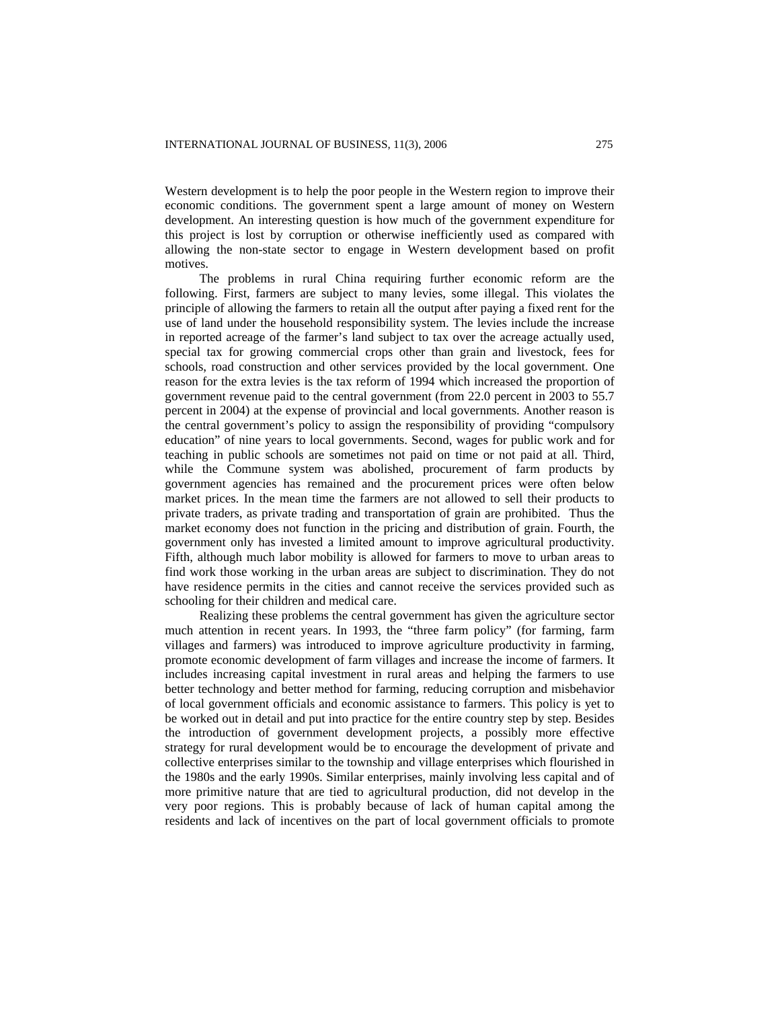Western development is to help the poor people in the Western region to improve their economic conditions. The government spent a large amount of money on Western development. An interesting question is how much of the government expenditure for this project is lost by corruption or otherwise inefficiently used as compared with allowing the non-state sector to engage in Western development based on profit motives.

The problems in rural China requiring further economic reform are the following. First, farmers are subject to many levies, some illegal. This violates the principle of allowing the farmers to retain all the output after paying a fixed rent for the use of land under the household responsibility system. The levies include the increase in reported acreage of the farmer's land subject to tax over the acreage actually used, special tax for growing commercial crops other than grain and livestock, fees for schools, road construction and other services provided by the local government. One reason for the extra levies is the tax reform of 1994 which increased the proportion of government revenue paid to the central government (from 22.0 percent in 2003 to 55.7 percent in 2004) at the expense of provincial and local governments. Another reason is the central government's policy to assign the responsibility of providing "compulsory education" of nine years to local governments. Second, wages for public work and for teaching in public schools are sometimes not paid on time or not paid at all. Third, while the Commune system was abolished, procurement of farm products by government agencies has remained and the procurement prices were often below market prices. In the mean time the farmers are not allowed to sell their products to private traders, as private trading and transportation of grain are prohibited. Thus the market economy does not function in the pricing and distribution of grain. Fourth, the government only has invested a limited amount to improve agricultural productivity. Fifth, although much labor mobility is allowed for farmers to move to urban areas to find work those working in the urban areas are subject to discrimination. They do not have residence permits in the cities and cannot receive the services provided such as schooling for their children and medical care.

Realizing these problems the central government has given the agriculture sector much attention in recent years. In 1993, the "three farm policy" (for farming, farm villages and farmers) was introduced to improve agriculture productivity in farming, promote economic development of farm villages and increase the income of farmers. It includes increasing capital investment in rural areas and helping the farmers to use better technology and better method for farming, reducing corruption and misbehavior of local government officials and economic assistance to farmers. This policy is yet to be worked out in detail and put into practice for the entire country step by step. Besides the introduction of government development projects, a possibly more effective strategy for rural development would be to encourage the development of private and collective enterprises similar to the township and village enterprises which flourished in the 1980s and the early 1990s. Similar enterprises, mainly involving less capital and of more primitive nature that are tied to agricultural production, did not develop in the very poor regions. This is probably because of lack of human capital among the residents and lack of incentives on the part of local government officials to promote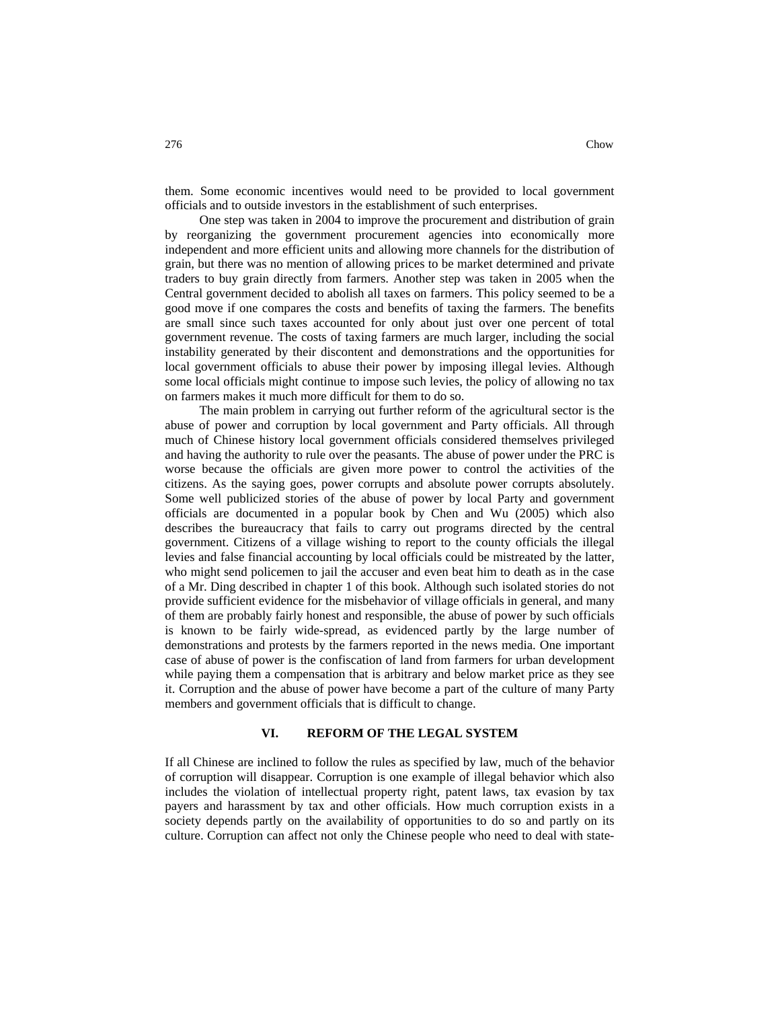them. Some economic incentives would need to be provided to local government officials and to outside investors in the establishment of such enterprises.

One step was taken in 2004 to improve the procurement and distribution of grain by reorganizing the government procurement agencies into economically more independent and more efficient units and allowing more channels for the distribution of grain, but there was no mention of allowing prices to be market determined and private traders to buy grain directly from farmers. Another step was taken in 2005 when the Central government decided to abolish all taxes on farmers. This policy seemed to be a good move if one compares the costs and benefits of taxing the farmers. The benefits are small since such taxes accounted for only about just over one percent of total government revenue. The costs of taxing farmers are much larger, including the social instability generated by their discontent and demonstrations and the opportunities for local government officials to abuse their power by imposing illegal levies. Although some local officials might continue to impose such levies, the policy of allowing no tax on farmers makes it much more difficult for them to do so.

The main problem in carrying out further reform of the agricultural sector is the abuse of power and corruption by local government and Party officials. All through much of Chinese history local government officials considered themselves privileged and having the authority to rule over the peasants. The abuse of power under the PRC is worse because the officials are given more power to control the activities of the citizens. As the saying goes, power corrupts and absolute power corrupts absolutely. Some well publicized stories of the abuse of power by local Party and government officials are documented in a popular book by Chen and Wu (2005) which also describes the bureaucracy that fails to carry out programs directed by the central government. Citizens of a village wishing to report to the county officials the illegal levies and false financial accounting by local officials could be mistreated by the latter, who might send policemen to jail the accuser and even beat him to death as in the case of a Mr. Ding described in chapter 1 of this book. Although such isolated stories do not provide sufficient evidence for the misbehavior of village officials in general, and many of them are probably fairly honest and responsible, the abuse of power by such officials is known to be fairly wide-spread, as evidenced partly by the large number of demonstrations and protests by the farmers reported in the news media. One important case of abuse of power is the confiscation of land from farmers for urban development while paying them a compensation that is arbitrary and below market price as they see it. Corruption and the abuse of power have become a part of the culture of many Party members and government officials that is difficult to change.

#### **VI. REFORM OF THE LEGAL SYSTEM**

If all Chinese are inclined to follow the rules as specified by law, much of the behavior of corruption will disappear. Corruption is one example of illegal behavior which also includes the violation of intellectual property right, patent laws, tax evasion by tax payers and harassment by tax and other officials. How much corruption exists in a society depends partly on the availability of opportunities to do so and partly on its culture. Corruption can affect not only the Chinese people who need to deal with state-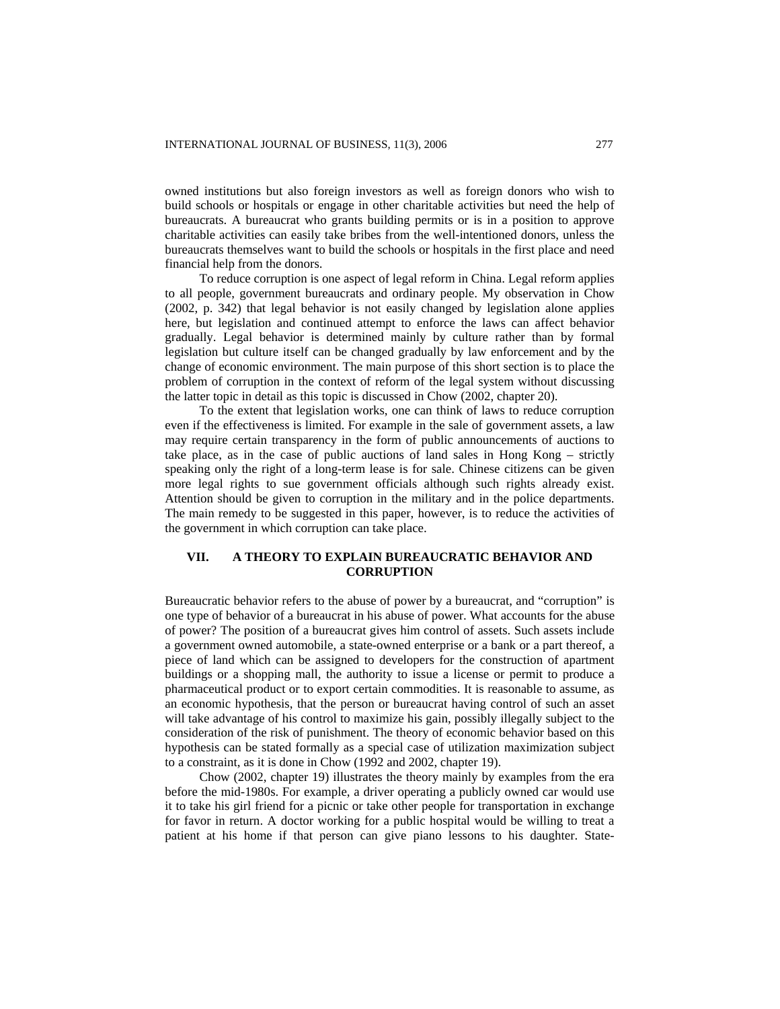owned institutions but also foreign investors as well as foreign donors who wish to build schools or hospitals or engage in other charitable activities but need the help of bureaucrats. A bureaucrat who grants building permits or is in a position to approve charitable activities can easily take bribes from the well-intentioned donors, unless the bureaucrats themselves want to build the schools or hospitals in the first place and need financial help from the donors.

To reduce corruption is one aspect of legal reform in China. Legal reform applies to all people, government bureaucrats and ordinary people. My observation in Chow (2002, p. 342) that legal behavior is not easily changed by legislation alone applies here, but legislation and continued attempt to enforce the laws can affect behavior gradually. Legal behavior is determined mainly by culture rather than by formal legislation but culture itself can be changed gradually by law enforcement and by the change of economic environment. The main purpose of this short section is to place the problem of corruption in the context of reform of the legal system without discussing the latter topic in detail as this topic is discussed in Chow (2002, chapter 20).

To the extent that legislation works, one can think of laws to reduce corruption even if the effectiveness is limited. For example in the sale of government assets, a law may require certain transparency in the form of public announcements of auctions to take place, as in the case of public auctions of land sales in Hong Kong – strictly speaking only the right of a long-term lease is for sale. Chinese citizens can be given more legal rights to sue government officials although such rights already exist. Attention should be given to corruption in the military and in the police departments. The main remedy to be suggested in this paper, however, is to reduce the activities of the government in which corruption can take place.

## **VII. A THEORY TO EXPLAIN BUREAUCRATIC BEHAVIOR AND CORRUPTION**

Bureaucratic behavior refers to the abuse of power by a bureaucrat, and "corruption" is one type of behavior of a bureaucrat in his abuse of power. What accounts for the abuse of power? The position of a bureaucrat gives him control of assets. Such assets include a government owned automobile, a state-owned enterprise or a bank or a part thereof, a piece of land which can be assigned to developers for the construction of apartment buildings or a shopping mall, the authority to issue a license or permit to produce a pharmaceutical product or to export certain commodities. It is reasonable to assume, as an economic hypothesis, that the person or bureaucrat having control of such an asset will take advantage of his control to maximize his gain, possibly illegally subject to the consideration of the risk of punishment. The theory of economic behavior based on this hypothesis can be stated formally as a special case of utilization maximization subject to a constraint, as it is done in Chow (1992 and 2002, chapter 19).

Chow (2002, chapter 19) illustrates the theory mainly by examples from the era before the mid-1980s. For example, a driver operating a publicly owned car would use it to take his girl friend for a picnic or take other people for transportation in exchange for favor in return. A doctor working for a public hospital would be willing to treat a patient at his home if that person can give piano lessons to his daughter. State-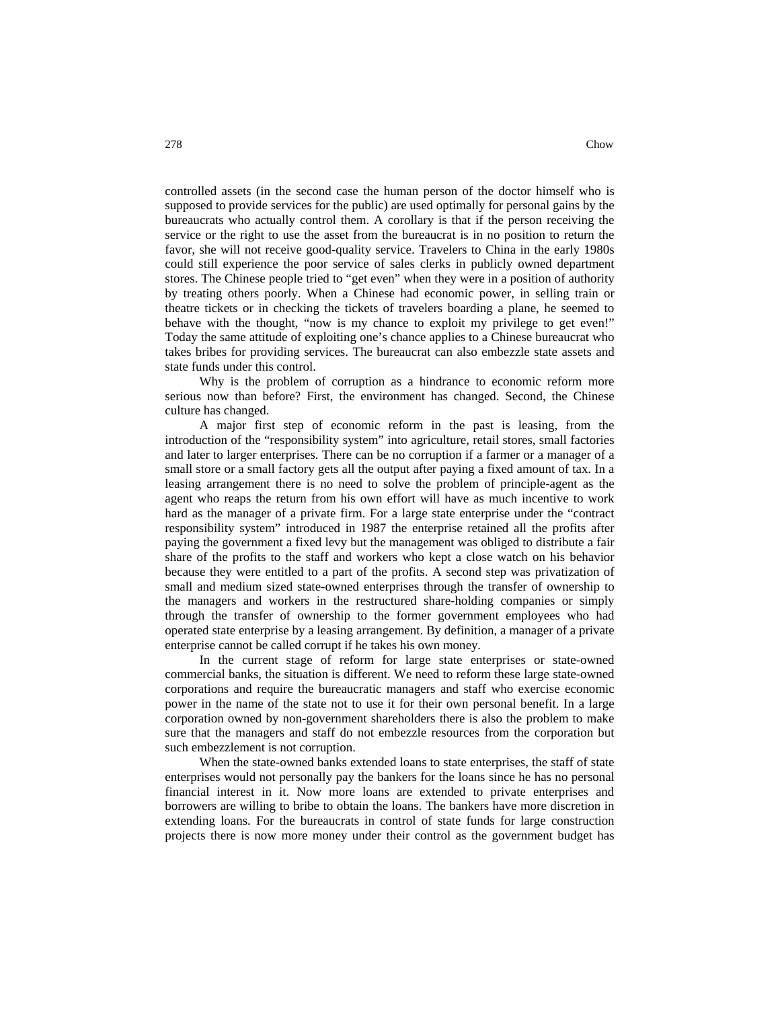controlled assets (in the second case the human person of the doctor himself who is supposed to provide services for the public) are used optimally for personal gains by the bureaucrats who actually control them. A corollary is that if the person receiving the service or the right to use the asset from the bureaucrat is in no position to return the favor, she will not receive good-quality service. Travelers to China in the early 1980s could still experience the poor service of sales clerks in publicly owned department stores. The Chinese people tried to "get even" when they were in a position of authority by treating others poorly. When a Chinese had economic power, in selling train or theatre tickets or in checking the tickets of travelers boarding a plane, he seemed to behave with the thought, "now is my chance to exploit my privilege to get even!" Today the same attitude of exploiting one's chance applies to a Chinese bureaucrat who takes bribes for providing services. The bureaucrat can also embezzle state assets and state funds under this control.

Why is the problem of corruption as a hindrance to economic reform more serious now than before? First, the environment has changed. Second, the Chinese culture has changed.

A major first step of economic reform in the past is leasing, from the introduction of the "responsibility system" into agriculture, retail stores, small factories and later to larger enterprises. There can be no corruption if a farmer or a manager of a small store or a small factory gets all the output after paying a fixed amount of tax. In a leasing arrangement there is no need to solve the problem of principle-agent as the agent who reaps the return from his own effort will have as much incentive to work hard as the manager of a private firm. For a large state enterprise under the "contract responsibility system" introduced in 1987 the enterprise retained all the profits after paying the government a fixed levy but the management was obliged to distribute a fair share of the profits to the staff and workers who kept a close watch on his behavior because they were entitled to a part of the profits. A second step was privatization of small and medium sized state-owned enterprises through the transfer of ownership to the managers and workers in the restructured share-holding companies or simply through the transfer of ownership to the former government employees who had operated state enterprise by a leasing arrangement. By definition, a manager of a private enterprise cannot be called corrupt if he takes his own money.

In the current stage of reform for large state enterprises or state-owned commercial banks, the situation is different. We need to reform these large state-owned corporations and require the bureaucratic managers and staff who exercise economic power in the name of the state not to use it for their own personal benefit. In a large corporation owned by non-government shareholders there is also the problem to make sure that the managers and staff do not embezzle resources from the corporation but such embezzlement is not corruption.

When the state-owned banks extended loans to state enterprises, the staff of state enterprises would not personally pay the bankers for the loans since he has no personal financial interest in it. Now more loans are extended to private enterprises and borrowers are willing to bribe to obtain the loans. The bankers have more discretion in extending loans. For the bureaucrats in control of state funds for large construction projects there is now more money under their control as the government budget has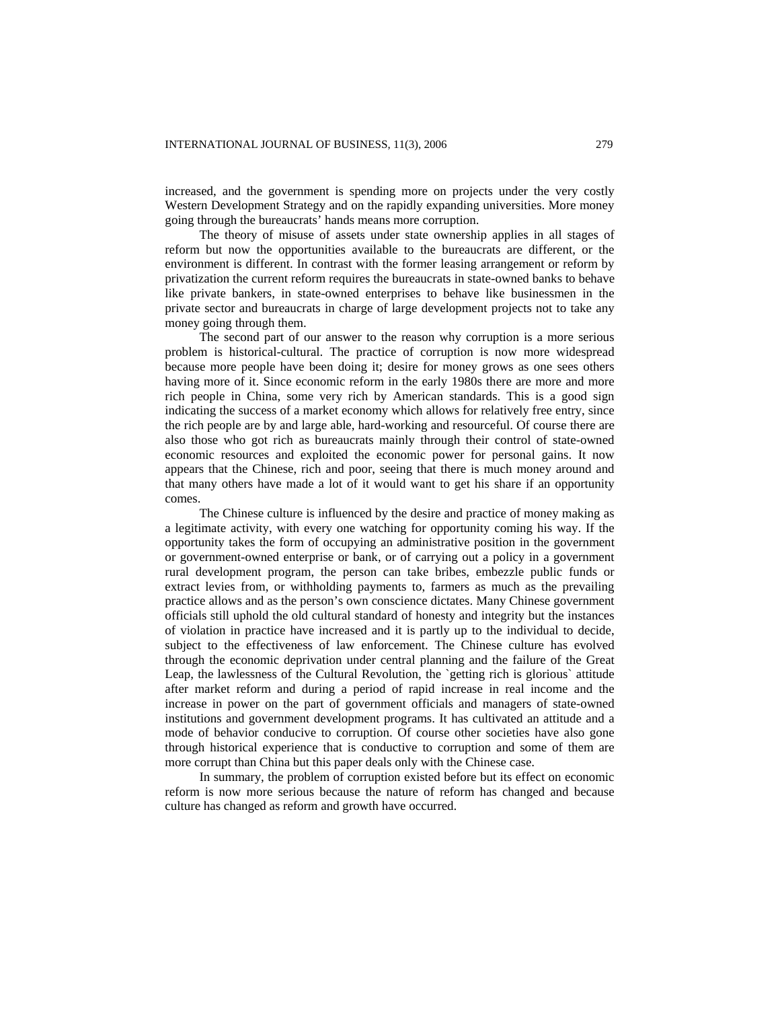increased, and the government is spending more on projects under the very costly Western Development Strategy and on the rapidly expanding universities. More money going through the bureaucrats' hands means more corruption.

The theory of misuse of assets under state ownership applies in all stages of reform but now the opportunities available to the bureaucrats are different, or the environment is different. In contrast with the former leasing arrangement or reform by privatization the current reform requires the bureaucrats in state-owned banks to behave like private bankers, in state-owned enterprises to behave like businessmen in the private sector and bureaucrats in charge of large development projects not to take any money going through them.

The second part of our answer to the reason why corruption is a more serious problem is historical-cultural. The practice of corruption is now more widespread because more people have been doing it; desire for money grows as one sees others having more of it. Since economic reform in the early 1980s there are more and more rich people in China, some very rich by American standards. This is a good sign indicating the success of a market economy which allows for relatively free entry, since the rich people are by and large able, hard-working and resourceful. Of course there are also those who got rich as bureaucrats mainly through their control of state-owned economic resources and exploited the economic power for personal gains. It now appears that the Chinese, rich and poor, seeing that there is much money around and that many others have made a lot of it would want to get his share if an opportunity comes.

The Chinese culture is influenced by the desire and practice of money making as a legitimate activity, with every one watching for opportunity coming his way. If the opportunity takes the form of occupying an administrative position in the government or government-owned enterprise or bank, or of carrying out a policy in a government rural development program, the person can take bribes, embezzle public funds or extract levies from, or withholding payments to, farmers as much as the prevailing practice allows and as the person's own conscience dictates. Many Chinese government officials still uphold the old cultural standard of honesty and integrity but the instances of violation in practice have increased and it is partly up to the individual to decide, subject to the effectiveness of law enforcement. The Chinese culture has evolved through the economic deprivation under central planning and the failure of the Great Leap, the lawlessness of the Cultural Revolution, the `getting rich is glorious` attitude after market reform and during a period of rapid increase in real income and the increase in power on the part of government officials and managers of state-owned institutions and government development programs. It has cultivated an attitude and a mode of behavior conducive to corruption. Of course other societies have also gone through historical experience that is conductive to corruption and some of them are more corrupt than China but this paper deals only with the Chinese case.

In summary, the problem of corruption existed before but its effect on economic reform is now more serious because the nature of reform has changed and because culture has changed as reform and growth have occurred.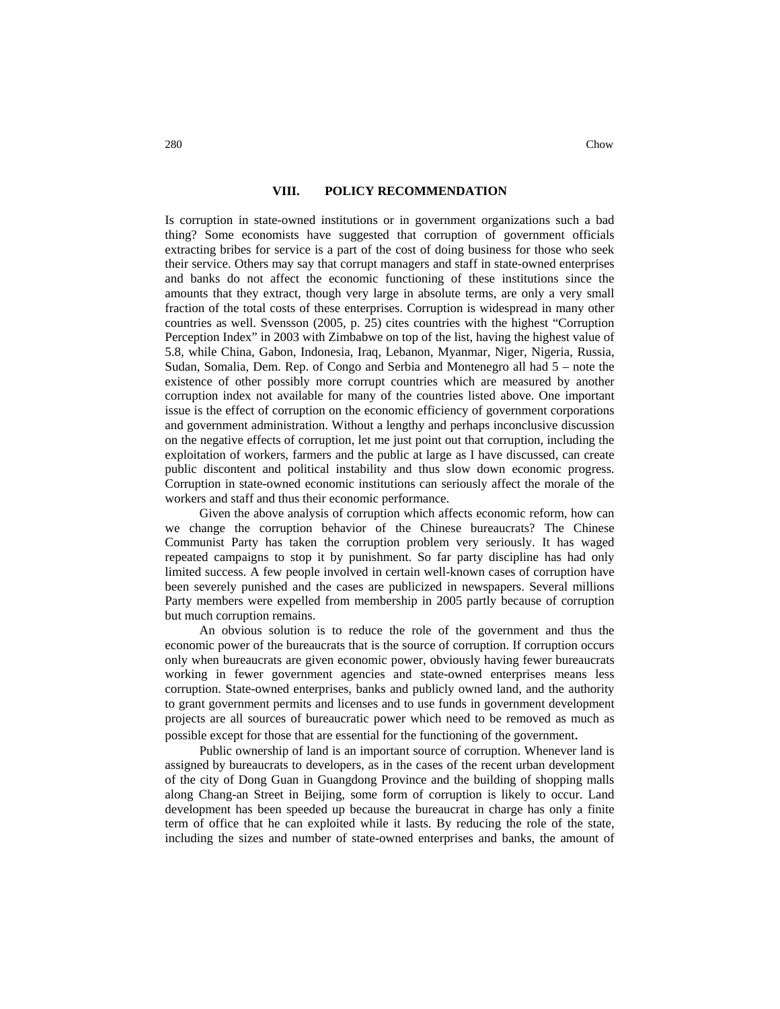### **VIII. POLICY RECOMMENDATION**

Is corruption in state-owned institutions or in government organizations such a bad thing? Some economists have suggested that corruption of government officials extracting bribes for service is a part of the cost of doing business for those who seek their service. Others may say that corrupt managers and staff in state-owned enterprises and banks do not affect the economic functioning of these institutions since the amounts that they extract, though very large in absolute terms, are only a very small fraction of the total costs of these enterprises. Corruption is widespread in many other countries as well. Svensson (2005, p. 25) cites countries with the highest "Corruption Perception Index" in 2003 with Zimbabwe on top of the list, having the highest value of 5.8, while China, Gabon, Indonesia, Iraq, Lebanon, Myanmar, Niger, Nigeria, Russia, Sudan, Somalia, Dem. Rep. of Congo and Serbia and Montenegro all had 5 – note the existence of other possibly more corrupt countries which are measured by another corruption index not available for many of the countries listed above. One important issue is the effect of corruption on the economic efficiency of government corporations and government administration. Without a lengthy and perhaps inconclusive discussion on the negative effects of corruption, let me just point out that corruption, including the exploitation of workers, farmers and the public at large as I have discussed, can create public discontent and political instability and thus slow down economic progress. Corruption in state-owned economic institutions can seriously affect the morale of the workers and staff and thus their economic performance.

Given the above analysis of corruption which affects economic reform, how can we change the corruption behavior of the Chinese bureaucrats? The Chinese Communist Party has taken the corruption problem very seriously. It has waged repeated campaigns to stop it by punishment. So far party discipline has had only limited success. A few people involved in certain well-known cases of corruption have been severely punished and the cases are publicized in newspapers. Several millions Party members were expelled from membership in 2005 partly because of corruption but much corruption remains.

An obvious solution is to reduce the role of the government and thus the economic power of the bureaucrats that is the source of corruption. If corruption occurs only when bureaucrats are given economic power, obviously having fewer bureaucrats working in fewer government agencies and state-owned enterprises means less corruption. State-owned enterprises, banks and publicly owned land, and the authority to grant government permits and licenses and to use funds in government development projects are all sources of bureaucratic power which need to be removed as much as possible except for those that are essential for the functioning of the government. Public ownership of land is an important source of corruption. Whenever land is

assigned by bureaucrats to developers, as in the cases of the recent urban development of the city of Dong Guan in Guangdong Province and the building of shopping malls along Chang-an Street in Beijing, some form of corruption is likely to occur. Land development has been speeded up because the bureaucrat in charge has only a finite term of office that he can exploited while it lasts. By reducing the role of the state, including the sizes and number of state-owned enterprises and banks, the amount of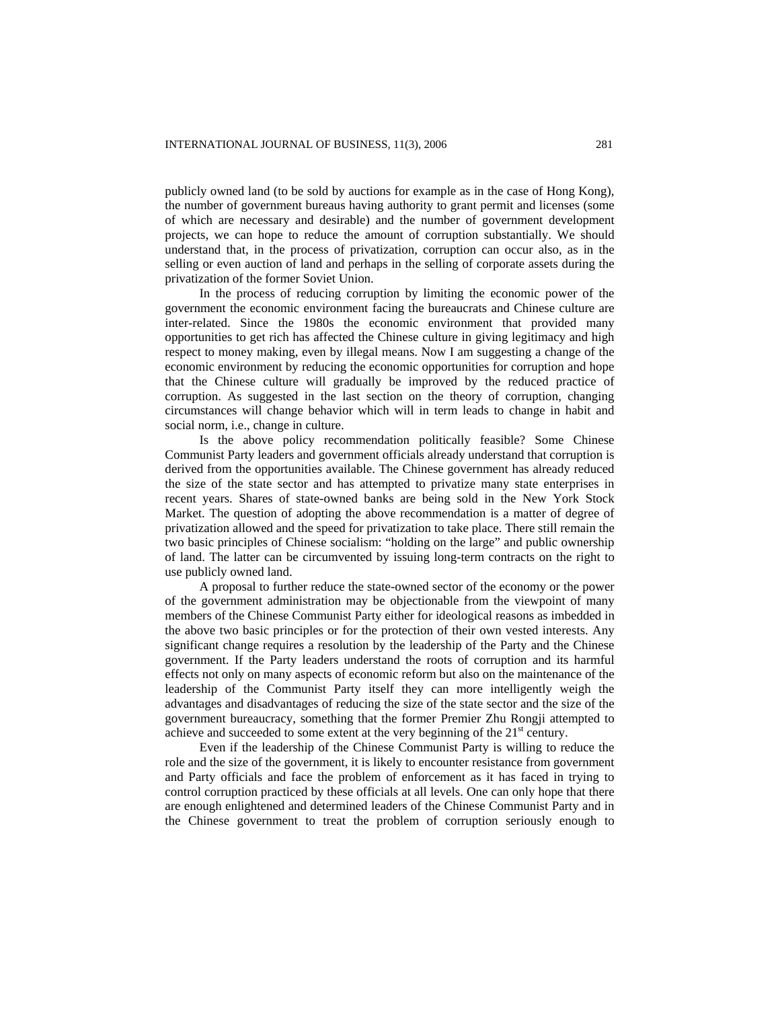publicly owned land (to be sold by auctions for example as in the case of Hong Kong), the number of government bureaus having authority to grant permit and licenses (some of which are necessary and desirable) and the number of government development projects, we can hope to reduce the amount of corruption substantially. We should understand that, in the process of privatization, corruption can occur also, as in the selling or even auction of land and perhaps in the selling of corporate assets during the privatization of the former Soviet Union.

In the process of reducing corruption by limiting the economic power of the government the economic environment facing the bureaucrats and Chinese culture are inter-related. Since the 1980s the economic environment that provided many opportunities to get rich has affected the Chinese culture in giving legitimacy and high respect to money making, even by illegal means. Now I am suggesting a change of the economic environment by reducing the economic opportunities for corruption and hope that the Chinese culture will gradually be improved by the reduced practice of corruption. As suggested in the last section on the theory of corruption, changing circumstances will change behavior which will in term leads to change in habit and social norm, i.e., change in culture.

Is the above policy recommendation politically feasible? Some Chinese Communist Party leaders and government officials already understand that corruption is derived from the opportunities available. The Chinese government has already reduced the size of the state sector and has attempted to privatize many state enterprises in recent years. Shares of state-owned banks are being sold in the New York Stock Market. The question of adopting the above recommendation is a matter of degree of privatization allowed and the speed for privatization to take place. There still remain the two basic principles of Chinese socialism: "holding on the large" and public ownership of land. The latter can be circumvented by issuing long-term contracts on the right to use publicly owned land.

A proposal to further reduce the state-owned sector of the economy or the power of the government administration may be objectionable from the viewpoint of many members of the Chinese Communist Party either for ideological reasons as imbedded in the above two basic principles or for the protection of their own vested interests. Any significant change requires a resolution by the leadership of the Party and the Chinese government. If the Party leaders understand the roots of corruption and its harmful effects not only on many aspects of economic reform but also on the maintenance of the leadership of the Communist Party itself they can more intelligently weigh the advantages and disadvantages of reducing the size of the state sector and the size of the government bureaucracy, something that the former Premier Zhu Rongji attempted to achieve and succeeded to some extent at the very beginning of the  $21<sup>st</sup>$  century.

Even if the leadership of the Chinese Communist Party is willing to reduce the role and the size of the government, it is likely to encounter resistance from government and Party officials and face the problem of enforcement as it has faced in trying to control corruption practiced by these officials at all levels. One can only hope that there are enough enlightened and determined leaders of the Chinese Communist Party and in the Chinese government to treat the problem of corruption seriously enough to